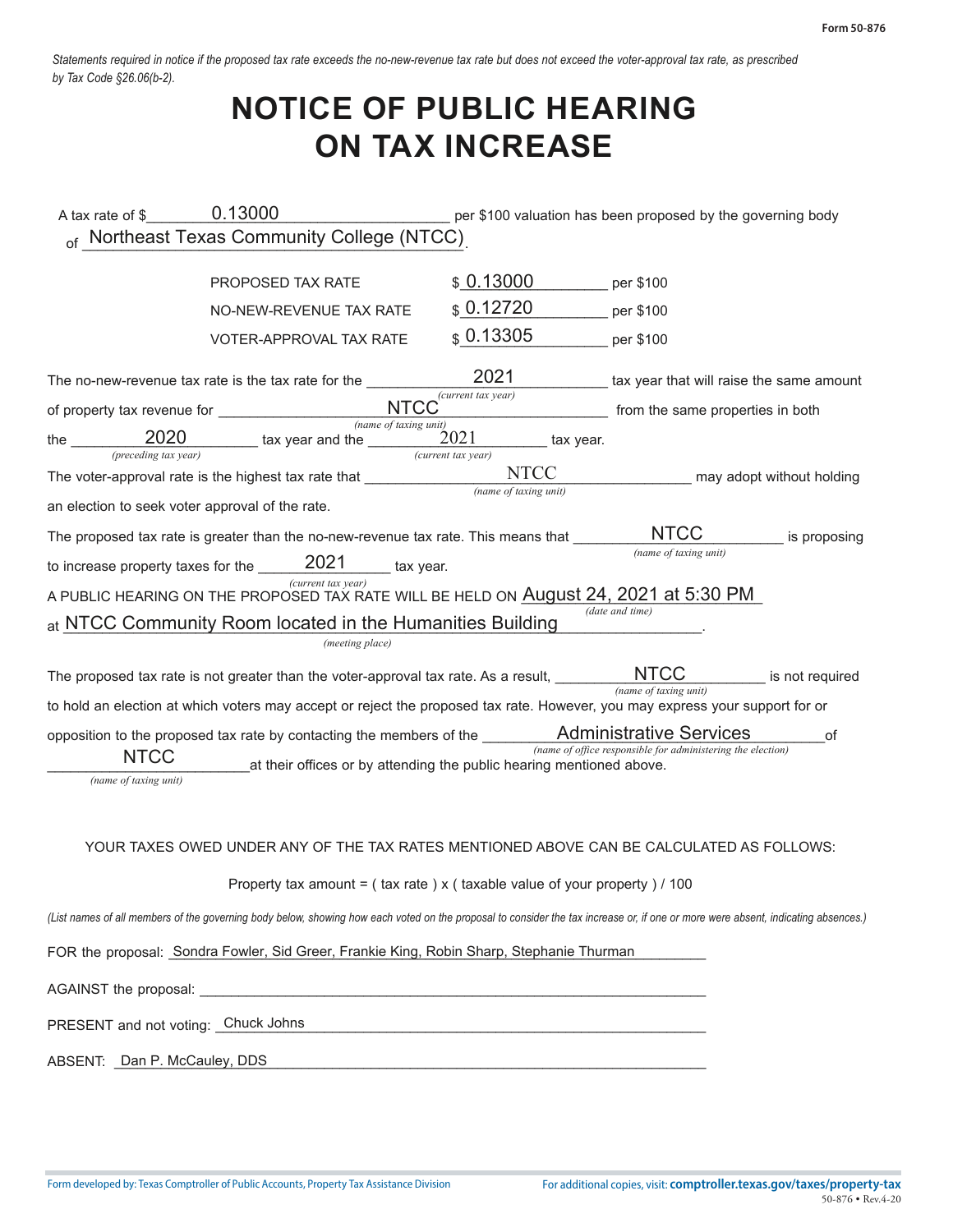*Statements required in notice if the proposed tax rate exceeds the no-new-revenue tax rate but does not exceed the voter-approval tax rate, as prescribed by Tax Code §26.06(b-2).* 

## **NOTICE OF PUBLIC HEARING ON TAX INCREASE**

| A tax rate of \$ 0.13000                        |                                                                                                                                                                                   |                                                | per \$100 valuation has been proposed by the governing body |                 |
|-------------------------------------------------|-----------------------------------------------------------------------------------------------------------------------------------------------------------------------------------|------------------------------------------------|-------------------------------------------------------------|-----------------|
|                                                 | of Northeast Texas Community College (NTCC)                                                                                                                                       |                                                |                                                             |                 |
|                                                 | PROPOSED TAX RATE                                                                                                                                                                 | \$0.13000                                      | per \$100                                                   |                 |
|                                                 | NO-NEW-REVENUE TAX RATE                                                                                                                                                           | \$0.12720                                      | per \$100                                                   |                 |
|                                                 | VOTER-APPROVAL TAX RATE                                                                                                                                                           | \$0.13305                                      | per \$100                                                   |                 |
|                                                 | The no-new-revenue tax rate is the tax rate for the _______                                                                                                                       | 2021                                           | tax year that will raise the same amount                    |                 |
|                                                 |                                                                                                                                                                                   | $\overline{(current tax year)}$                | from the same properties in both                            |                 |
|                                                 | $frac$ (name of taxing unit)<br>the $\frac{2020}{(preceding tax year)}$ tax year and the $\frac{1}{(curr)(current)}$                                                              | 2021<br>tax year.                              |                                                             |                 |
|                                                 | The voter-approval rate is the highest tax rate that ______________                                                                                                               | $\overline{(current tax year)}$<br><b>NTCC</b> | may adopt without holding                                   |                 |
| an election to seek voter approval of the rate. |                                                                                                                                                                                   | (name of taxing unit)                          |                                                             |                 |
|                                                 | The proposed tax rate is greater than the no-new-revenue tax rate. This means that                                                                                                |                                                | <b>NTCC</b>                                                 | is proposing    |
|                                                 | to increase property taxes for the $\qquad 2021$ tax year.                                                                                                                        |                                                | (name of taxing unit)                                       |                 |
|                                                 | (current tax year)<br>A PUBLIC HEARING ON THE PROPOSED TAX RATE WILL BE HELD ON <b>August 24, 2021 at 5:30 PM</b>                                                                 |                                                |                                                             |                 |
|                                                 | at NTCC Community Room located in the Humanities Building                                                                                                                         |                                                | (date and time)                                             |                 |
|                                                 | (meeting place)                                                                                                                                                                   |                                                |                                                             |                 |
|                                                 | The proposed tax rate is not greater than the voter-approval tax rate. As a result, $\_\_$                                                                                        |                                                | (name of taxing unit)                                       | is not required |
|                                                 | to hold an election at which voters may accept or reject the proposed tax rate. However, you may express your support for or                                                      |                                                |                                                             |                 |
|                                                 | opposition to the proposed tax rate by contacting the members of the __________ Administrative Services                                                                           |                                                | (name of office responsible for administering the election) | of              |
| <b>NTCC</b><br>(name of taxing unit)            | at their offices or by attending the public hearing mentioned above.                                                                                                              |                                                |                                                             |                 |
|                                                 | YOUR TAXES OWED UNDER ANY OF THE TAX RATES MENTIONED ABOVE CAN BE CALCULATED AS FOLLOWS:                                                                                          |                                                |                                                             |                 |
|                                                 | Property tax amount = $($ tax rate $)$ x $($ taxable value of your property $)/100$                                                                                               |                                                |                                                             |                 |
|                                                 | (List names of all members of the governing body below, showing how each voted on the proposal to consider the tax increase or, if one or more were absent, indicating absences.) |                                                |                                                             |                 |
|                                                 | FOR the proposal: Sondra Fowler, Sid Greer, Frankie King, Robin Sharp, Stephanie Thurman                                                                                          |                                                |                                                             |                 |
|                                                 |                                                                                                                                                                                   |                                                |                                                             |                 |
| PRESENT and not voting: Chuck Johns             |                                                                                                                                                                                   |                                                |                                                             |                 |
| ABSENT: Dan P. McCauley, DDS                    |                                                                                                                                                                                   |                                                |                                                             |                 |